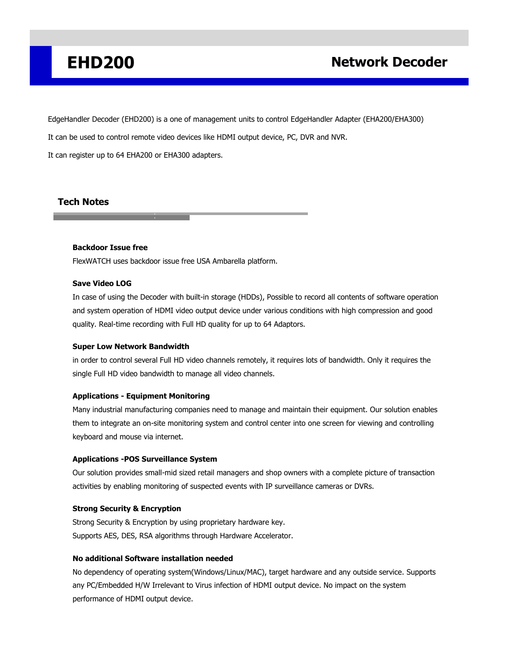EdgeHandler Decoder (EHD200) is a one of management units to control EdgeHandler Adapter (EHA200/EHA300)

It can be used to control remote video devices like HDMI output device, PC, DVR and NVR.

It can register up to 64 EHA200 or EHA300 adapters.

## **Tech Notes**

### **Backdoor Issue free**

FlexWATCH uses backdoor issue free USA Ambarella platform.

#### **Save Video LOG**

In case of using the Decoder with built-in storage (HDDs), Possible to record all contents of software operation and system operation of HDMI video output device under various conditions with high compression and good quality. Real-time recording with Full HD quality for up to 64 Adaptors.

### **Super Low Network Bandwidth**

in order to control several Full HD video channels remotely, it requires lots of bandwidth. Only it requires the single Full HD video bandwidth to manage all video channels.

### **Applications - Equipment Monitoring**

Many industrial manufacturing companies need to manage and maintain their equipment. Our solution enables them to integrate an on-site monitoring system and control center into one screen for viewing and controlling keyboard and mouse via internet.

### **Applications -POS Surveillance System**

Our solution provides small-mid sized retail managers and shop owners with a complete picture of transaction activities by enabling monitoring of suspected events with IP surveillance cameras or DVRs.

### **Strong Security & Encryption**

Strong Security & Encryption by using proprietary hardware key. Supports AES, DES, RSA algorithms through Hardware Accelerator.

### **No additional Software installation needed**

No dependency of operating system(Windows/Linux/MAC), target hardware and any outside service. Supports any PC/Embedded H/W Irrelevant to Virus infection of HDMI output device. No impact on the system performance of HDMI output device.